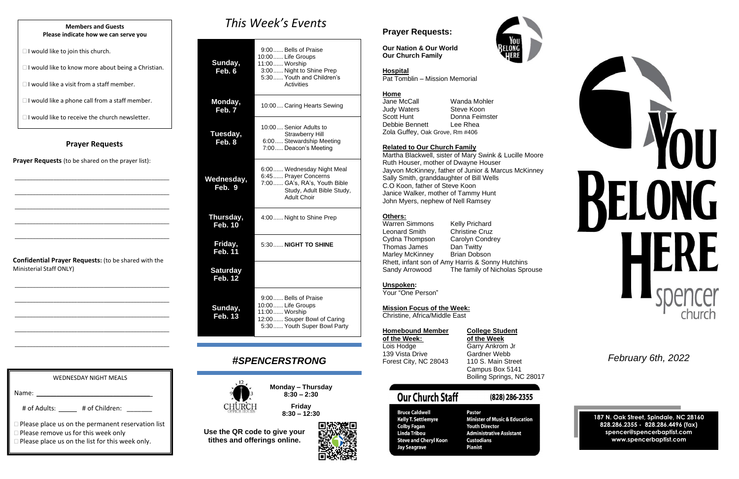#### **Prayer Requests**

**Prayer Requests** (to be shared on the prayer list):

\_\_\_\_\_\_\_\_\_\_\_\_\_\_\_\_\_\_\_\_\_\_\_\_\_\_\_\_\_\_\_\_\_\_\_\_\_\_\_\_\_\_\_\_\_\_\_\_\_\_\_\_

\_\_\_\_\_\_\_\_\_\_\_\_\_\_\_\_\_\_\_\_\_\_\_\_\_\_\_\_\_\_\_\_\_\_\_\_\_\_\_\_\_\_\_\_\_\_\_\_\_\_\_\_

\_\_\_\_\_\_\_\_\_\_\_\_\_\_\_\_\_\_\_\_\_\_\_\_\_\_\_\_\_\_\_\_\_\_\_\_\_\_\_\_\_\_\_\_\_\_\_\_\_\_\_\_

\_\_\_\_\_\_\_\_\_\_\_\_\_\_\_\_\_\_\_\_\_\_\_\_\_\_\_\_\_\_\_\_\_\_\_\_\_\_\_\_\_\_\_\_\_\_\_\_\_\_\_\_

\_\_\_\_\_\_\_\_\_\_\_\_\_\_\_\_\_\_\_\_\_\_\_\_\_\_\_\_\_\_\_\_\_\_\_\_\_\_\_\_\_\_\_\_\_\_\_\_\_\_\_\_

**Confidential Prayer Requests:** (to be shared with the Ministerial Staff ONLY)

\_\_\_\_\_\_\_\_\_\_\_\_\_\_\_\_\_\_\_\_\_\_\_\_\_\_\_\_\_\_\_\_\_\_\_\_\_\_\_\_\_\_\_\_\_\_\_\_\_\_\_\_

\_\_\_\_\_\_\_\_\_\_\_\_\_\_\_\_\_\_\_\_\_\_\_\_\_\_\_\_\_\_\_\_\_\_\_\_\_\_\_\_\_\_\_\_\_\_\_\_\_\_\_\_

\_\_\_\_\_\_\_\_\_\_\_\_\_\_\_\_\_\_\_\_\_\_\_\_\_\_\_\_\_\_\_\_\_\_\_\_\_\_\_\_\_\_\_\_\_\_\_\_\_\_\_\_

\_\_\_\_\_\_\_\_\_\_\_\_\_\_\_\_\_\_\_\_\_\_\_\_\_\_\_\_\_\_\_\_\_\_\_\_\_\_\_\_\_\_\_\_\_\_\_\_\_\_\_\_

\_\_\_\_\_\_\_\_\_\_\_\_\_\_\_\_\_\_\_\_\_\_\_\_\_\_\_\_\_\_\_\_\_\_\_\_\_\_\_\_\_\_\_\_\_\_\_\_\_\_\_\_

# *This Week's Events*

**Home**<br>Jane McCall Wanda Mohler Judy Waters **Steve Koon** Scott Hunt Donna Feimster Debbie Bennett Lee Rhea Zola Guffey, Oak Grove, Rm #406

| Sunday,<br>Feb. 6                 | 9:00 Bells of Praise<br>10:00 Life Groups<br>11:00  Worship<br>3:00 Night to Shine Prep<br>5:30 Youth and Children's<br>Activities |
|-----------------------------------|------------------------------------------------------------------------------------------------------------------------------------|
| Monday,<br>Feb. 7                 | 10:00 Caring Hearts Sewing                                                                                                         |
| Tuesday,<br>Feb. 8                | 10:00 Senior Adults to<br><b>Strawberry Hill</b><br>6:00 Stewardship Meeting<br>7:00 Deacon's Meeting                              |
| Wednesday,<br>Feb. 9              | 6:00 Wednesday Night Meal<br>6:45  Prayer Concerns<br>7:00 GA's, RA's, Youth Bible<br>Study, Adult Bible Study,<br>Adult Choir     |
| Thursday,<br><b>Feb. 10</b>       | 4:00 Night to Shine Prep                                                                                                           |
| Friday,<br><b>Feb. 11</b>         | 5:30 NIGHT TO SHINE                                                                                                                |
| <b>Saturday</b><br><b>Feb. 12</b> |                                                                                                                                    |
| Sunday,<br><b>Feb. 13</b>         | 9:00 Bells of Praise<br>10:00 Life Groups<br>11:00 Worship<br>12:00 Souper Bowl of Caring<br>5:30 Youth Super Bowl Party           |

Warren Simmons Kelly Prichard Leonard Smith Christine Cruz Cydna Thompson Carolyn Condrey Thomas James Dan Twitty Marley McKinney Brian Dobson Rhett, infant son of Amy Harris & Sonny Hutchins Sandy Arrowood The family of Nicholas Sprouse

## *#SPENCERSTRONG*



**Monday – Thursday 8:30 – 2:30**

**Friday 8:30 – 12:30**

**Use the QR code to give your tithes and offerings online.**

## **Prayer Requests:**

**Our Nation & Our World Our Church Family**



#### **Hospital**

Pat Tomblin – Mission Memorial

#### **Related to Our Church Family**

Martha Blackwell, sister of Mary Swink & Lucille Moore Ruth Houser, mother of Dwayne Houser Jayvon McKinney, father of Junior & Marcus McKinney Sally Smith, granddaughter of Bill Wells C.O Koon, father of Steve Koon Janice Walker, mother of Tammy Hunt John Myers, nephew of Nell Ramsey

#### **Others:**

#### **Unspoken:**

Your "One Person"

#### **Mission Focus of the Week:**

Christine, Africa/Middle East

| <b>Homebound Member</b> |  |
|-------------------------|--|
| of the Week:            |  |
| Lois Hodge              |  |
| 139 Vista Drive         |  |
| Forest City, NC 28043   |  |

**Bruce Caldwell** 

**Colby Fagan** 

**Linda Tribou** 

Jay Seagrave

## **College Student**

**of the Week: of the Week** Garry Ankrom Jr Gardner Webb 110 S. Main Street Campus Box 5141 Boiling Springs, NC 28017

(828) 286-2355

# **Our Church Staff**

Pastor **Kelly T. Settlemyre Steve and Cheryl Koon Custodians Pianist** 

**Minister of Music & Education Youth Director Administrative Assistant** 







*February 6th, 2022*

**187 N. Oak Street, Spindale, NC 28160 828.286.2355 - 828.286.4496 (fax) spencer@spencerbaptist.com www.spencerbaptist.com**

#### **Members and Guests Please indicate how we can serve you**

 $\Box$  I would like to join this church.

 $\Box$  I would like to know more about being a Christian.

 $\Box$  I would like a visit from a staff member.

 $\Box$  I would like a phone call from a staff member.

 $\Box$  I would like to receive the church newsletter.

WEDNESDAY NIGHT MEALS

# of Adults: \_\_\_\_\_ # of Children: \_\_\_\_\_\_

**Please place us on the list for this week only.** 

□ Please remove us for this week only

**Please place us on the permanent reservation list** 

Name: